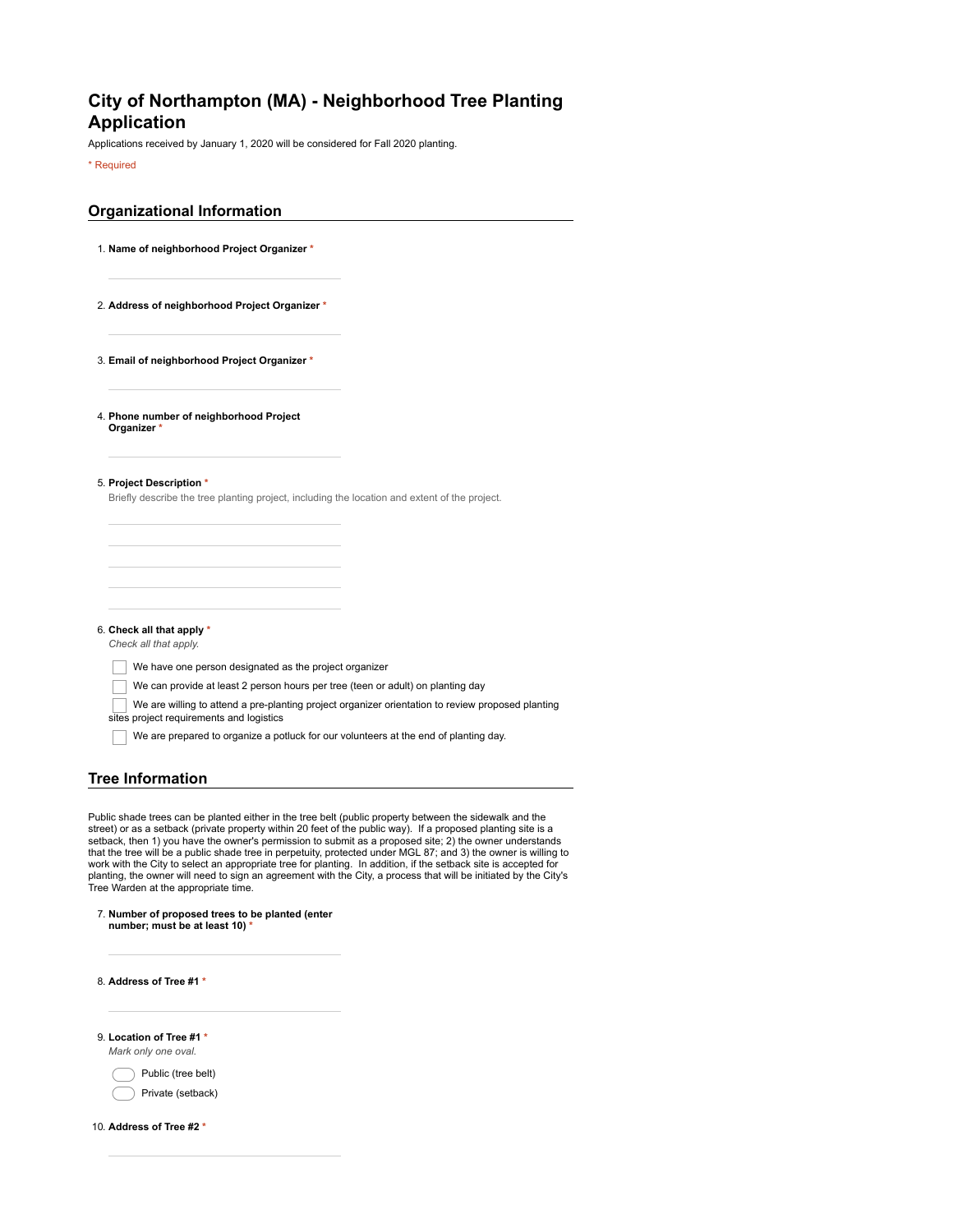## **City of Northampton (MA) - Neighborhood Tree Planting Application**

Applications received by January 1, 2020 will be considered for Fall 2020 planting.

\* Required

| <b>Organizational Information</b> |  |
|-----------------------------------|--|
|                                   |  |

- 1. **Name of neighborhood Project Organizer \***
- 2. **Address of neighborhood Project Organizer \***
- 3. **Email of neighborhood Project Organizer \***

4. **Phone number of neighborhood Project Organizer** 

5. **Project Description \***

Briefly describe the tree planting project, including the location and extent of the project.

6. **Check all that apply \***

*Check all that apply.*

We have one person designated as the project organizer

- We can provide at least 2 person hours per tree (teen or adult) on planting day
- We are willing to attend a pre-planting project organizer orientation to review proposed planting

sites project requirements and logistics

We are prepared to organize a potluck for our volunteers at the end of planting day.

## **Tree Information**

Public shade trees can be planted either in the tree belt (public property between the sidewalk and the street) or as a setback (private property within 20 feet of the public way). If a proposed planting site is a setback, then 1) you have the owner's permission to submit as a proposed site; 2) the owner understands that the tree will be a public shade tree in perpetuity, protected under MGL 87; and 3) the owner is willing to<br>work with the City to select an appropriate tree for planting. In addition, if the setback site is accepted f Tree Warden at the appropriate time.

| 7. Number of proposed trees to be planted (enter |  |  |
|--------------------------------------------------|--|--|
| number; must be at least 10) *                   |  |  |

8. **Address of Tree #1 \*** 9. **Location of Tree #1 \***

*Mark only one oval.*

Public (tree belt) Private (setback)

10. **Address of Tree #2 \***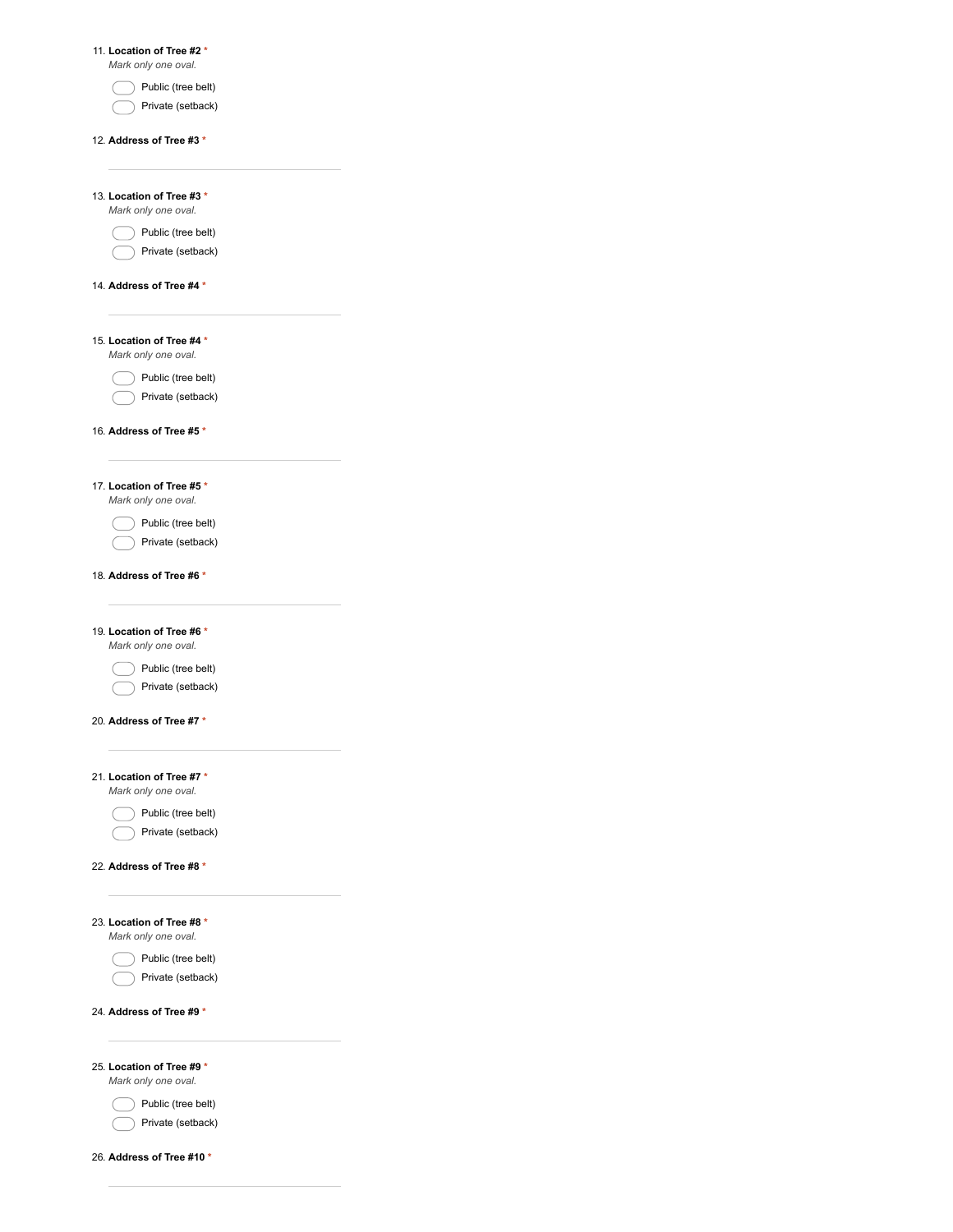| 11. Location of Tree #2*                         |  |
|--------------------------------------------------|--|
| Mark only one oval.<br>Public (tree belt)        |  |
| Private (setback)                                |  |
|                                                  |  |
| 12. Address of Tree #3 *                         |  |
|                                                  |  |
| 13. Location of Tree #3 *<br>Mark only one oval. |  |
| Public (tree belt)                               |  |
| Private (setback)                                |  |
|                                                  |  |
| 14. Address of Tree #4*                          |  |
|                                                  |  |
| 15. Location of Tree #4*                         |  |
| Mark only one oval.                              |  |
| Public (tree belt)<br>Private (setback)          |  |
|                                                  |  |
| 16. Address of Tree #5 *                         |  |
|                                                  |  |
| 17. Location of Tree #5*                         |  |
| Mark only one oval.                              |  |
| Public (tree belt)                               |  |
| Private (setback)                                |  |
| 18. Address of Tree #6 *                         |  |
|                                                  |  |
| 19. Location of Tree #6 *                        |  |
| Mark only one oval.                              |  |
| Public (tree belt)                               |  |
| Private (setback)                                |  |
| 20. Address of Tree #7 *                         |  |
|                                                  |  |
| 21. Location of Tree #7*                         |  |
| Mark only one oval.                              |  |
| Public (tree belt)                               |  |
| Private (setback)                                |  |
| 22. Address of Tree #8 *                         |  |
|                                                  |  |
|                                                  |  |
| 23. Location of Tree #8 *<br>Mark only one oval. |  |
| Public (tree belt)                               |  |
| Private (setback)                                |  |
|                                                  |  |
| 24. Address of Tree #9 *                         |  |
|                                                  |  |
| 25. Location of Tree #9 *                        |  |
| Mark only one oval.                              |  |
| Public (tree belt)<br>Private (setback)          |  |
|                                                  |  |
| 26. Address of Tree #10 *                        |  |
|                                                  |  |